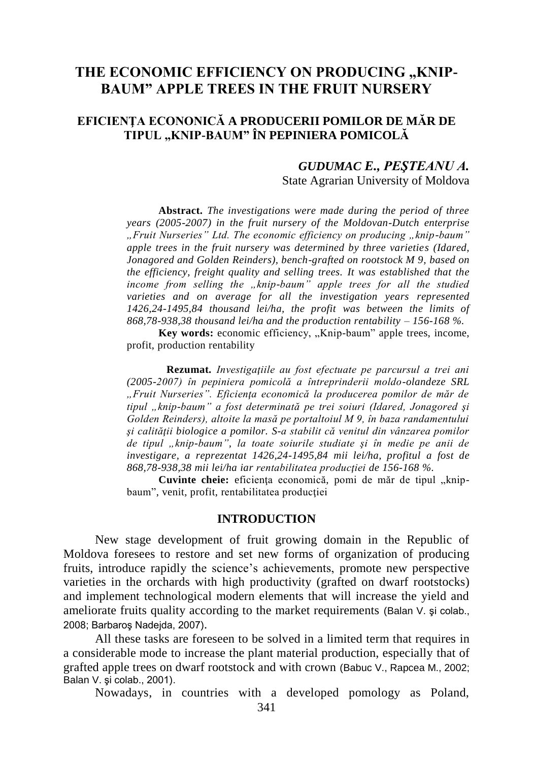# THE ECONOMIC EFFICIENCY ON PRODUCING "KNIP-**BAUM" APPLE TREES IN THE FRUIT NURSERY**

## **EFICIENŢA ECONONICĂ A PRODUCERII POMILOR DE MĂR DE TIPUL "KNIP-BAUM" ÎN PEPINIERA POMICOLĂ**

## *GUDUMAC E., PEŞTEANU A.* State Agrarian University of Moldova

**Abstract.** *The investigations were made during the period of three years (2005-2007) in the fruit nursery of the Moldovan-Dutch enterprise "Fruit Nurseries" Ltd. The economic efficiency on producing "knip-baum" apple trees in the fruit nursery was determined by three varieties (Idared, Jonagored and Golden Reinders), bench-grafted on rootstock M 9, based on the efficiency, freight quality and selling trees. It was established that the income from selling the "knip-baum" apple trees for all the studied varieties and on average for all the investigation years represented 1426,24-1495,84 thousand lei/ha, the profit was between the limits of 868,78-938,38 thousand lei/ha and the production rentability – 156-168 %.*

Key words: economic efficiency, "Knip-baum" apple trees, income, profit, production rentability

**Rezumat***. Investigaţiile au fost efectuate pe parcursul a trei ani (2005-2007) în pepiniera pomicolă a întreprinderii moldo-olandeze SRL "Fruit Nurseries". Eficienţa economică la producerea pomilor de măr de tipul "knip-baum" a fost determinată pe trei soiuri (Idared, Jonagored şi Golden Reinders), altoite la masă pe portaltoiul M 9, în baza randamentului şi calităţii biologice a pomilor. S-a stabilit că venitul din vânzarea pomilor de tipul "knip-baum", la toate soiurile studiate şi în medie pe anii de investigare, a reprezentat 1426,24-1495,84 mii lei/ha, profitul a fost de 868,78-938,38 mii lei/ha iar rentabilitatea producţiei de 156-168 %.*

Cuvinte cheie: eficienta economică, pomi de măr de tipul "knipbaum", venit, profit, rentabilitatea producției

#### **INTRODUCTION**

New stage development of fruit growing domain in the Republic of Moldova foresees to restore and set new forms of organization of producing fruits, introduce rapidly the science's achievements, promote new perspective varieties in the orchards with high productivity (grafted on dwarf rootstocks) and implement technological modern elements that will increase the yield and ameliorate fruits quality according to the market requirements (Balan V. şi colab., 2008; Barbaroş Nadejda, 2007).

All these tasks are foreseen to be solved in a limited term that requires in a considerable mode to increase the plant material production, especially that of grafted apple trees on dwarf rootstock and with crown (Babuc V., Rapcea M., 2002; Balan V. şi colab., 2001).

Nowadays, in countries with a developed pomology as Poland,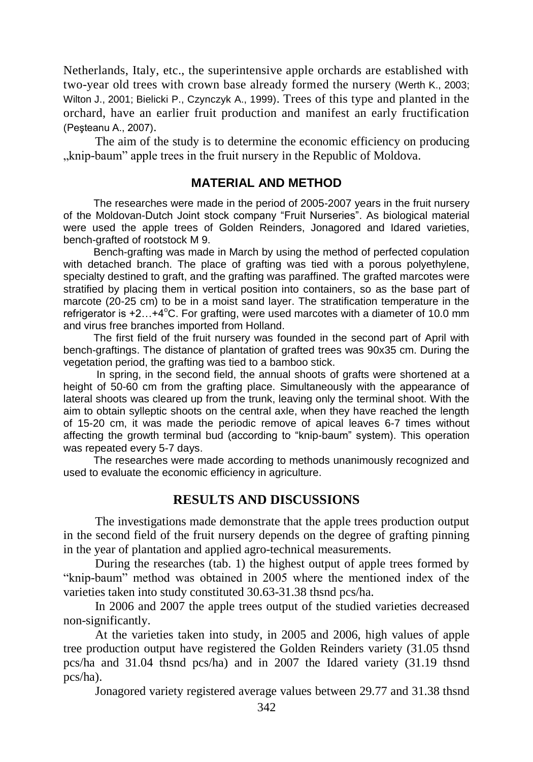Netherlands, Italy, etc., the superintensive apple orchards are established with two-year old trees with crown base already formed the nursery (Werth K., 2003; Wilton J., 2001; Bielicki P., Czynczyk A., 1999). Trees of this type and planted in the orchard, have an earlier fruit production and manifest an early fructification (Peşteanu A., 2007).

The aim of the study is to determine the economic efficiency on producing "knip-baum" apple trees in the fruit nursery in the Republic of Moldova.

## **MATERIAL AND METHOD**

The researches were made in the period of 2005-2007 years in the fruit nursery of the Moldovan-Dutch Joint stock company "Fruit Nurseries". As biological material were used the apple trees of Golden Reinders, Jonagored and Idared varieties, bench-grafted of rootstock M 9.

Bench-grafting was made in March by using the method of perfected copulation with detached branch. The place of grafting was tied with a porous polyethylene, specialty destined to graft, and the grafting was paraffined. The grafted marcotes were stratified by placing them in vertical position into containers, so as the base part of marcote (20-25 cm) to be in a moist sand layer. The stratification temperature in the refrigerator is  $+2...+4$ <sup>o</sup>C. For grafting, were used marcotes with a diameter of 10.0 mm and virus free branches imported from Holland.

The first field of the fruit nursery was founded in the second part of April with bench-graftings. The distance of plantation of grafted trees was 90x35 cm. During the vegetation period, the grafting was tied to a bamboo stick.

In spring, in the second field, the annual shoots of grafts were shortened at a height of 50-60 cm from the grafting place. Simultaneously with the appearance of lateral shoots was cleared up from the trunk, leaving only the terminal shoot. With the aim to obtain sylleptic shoots on the central axle, when they have reached the length of 15-20 cm, it was made the periodic remove of apical leaves 6-7 times without affecting the growth terminal bud (according to "knip-baum" system). This operation was repeated every 5-7 days.

The researches were made according to methods unanimously recognized and used to evaluate the economic efficiency in agriculture.

## **RESULTS AND DISCUSSIONS**

The investigations made demonstrate that the apple trees production output in the second field of the fruit nursery depends on the degree of grafting pinning in the year of plantation and applied agro-technical measurements.

During the researches (tab. 1) the highest output of apple trees formed by "knip-baum" method was obtained in 2005 where the mentioned index of the varieties taken into study constituted 30.63-31.38 thsnd pcs/ha.

In 2006 and 2007 the apple trees output of the studied varieties decreased non-significantly.

At the varieties taken into study, in 2005 and 2006, high values of apple tree production output have registered the Golden Reinders variety (31.05 thsnd pcs/ha and 31.04 thsnd pcs/ha) and in 2007 the Idared variety (31.19 thsnd pcs/ha).

Jonagored variety registered average values between 29.77 and 31.38 thsnd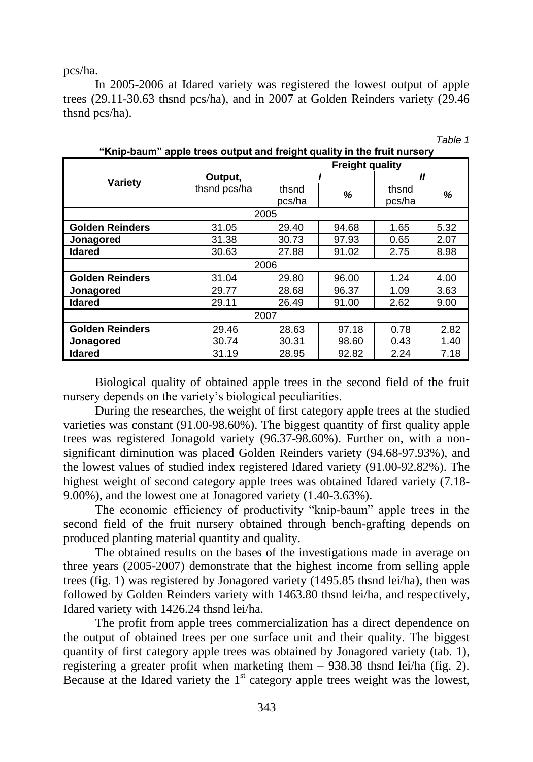pcs/ha.

In 2005-2006 at Idared variety was registered the lowest output of apple trees (29.11-30.63 thsnd pcs/ha), and in 2007 at Golden Reinders variety (29.46 thsnd pcs/ha).

|                        | Output,<br>thsnd pcs/ha | <b>Freight quality</b> |       |        |      |  |  |
|------------------------|-------------------------|------------------------|-------|--------|------|--|--|
| Variety                |                         |                        |       | Ш      |      |  |  |
|                        |                         | thsnd                  | %     | thsnd  | %    |  |  |
|                        |                         | pcs/ha                 |       | pcs/ha |      |  |  |
| 2005                   |                         |                        |       |        |      |  |  |
| <b>Golden Reinders</b> | 31.05                   | 29.40                  | 94.68 | 1.65   | 5.32 |  |  |
| Jonagored              | 31.38                   | 30.73                  | 97.93 | 0.65   | 2.07 |  |  |
| <b>Idared</b>          | 30.63                   | 27.88                  | 91.02 | 2.75   | 8.98 |  |  |
| 2006                   |                         |                        |       |        |      |  |  |
| <b>Golden Reinders</b> | 31.04                   | 29.80                  | 96.00 | 1.24   | 4.00 |  |  |
| Jonagored              | 29.77                   | 28.68                  | 96.37 | 1.09   | 3.63 |  |  |
| <b>Idared</b>          | 29.11                   | 26.49                  | 91.00 | 2.62   | 9.00 |  |  |
| 2007                   |                         |                        |       |        |      |  |  |
| <b>Golden Reinders</b> | 29.46                   | 28.63                  | 97.18 | 0.78   | 2.82 |  |  |
| Jonagored              | 30.74                   | 30.31                  | 98.60 | 0.43   | 1.40 |  |  |
| <b>Idared</b>          | 31.19                   | 28.95                  | 92.82 | 2.24   | 7.18 |  |  |

|                                                                         | Table 1 |  |
|-------------------------------------------------------------------------|---------|--|
| "Knip-baum" apple trees output and freight quality in the fruit nursery |         |  |

Biological quality of obtained apple trees in the second field of the fruit nursery depends on the variety's biological peculiarities.

During the researches, the weight of first category apple trees at the studied varieties was constant (91.00-98.60%). The biggest quantity of first quality apple trees was registered Jonagold variety (96.37-98.60%). Further on, with a nonsignificant diminution was placed Golden Reinders variety (94.68-97.93%), and the lowest values of studied index registered Idared variety (91.00-92.82%). The highest weight of second category apple trees was obtained Idared variety (7.18- 9.00%), and the lowest one at Jonagored variety (1.40-3.63%).

The economic efficiency of productivity "knip-baum" apple trees in the second field of the fruit nursery obtained through bench-grafting depends on produced planting material quantity and quality.

The obtained results on the bases of the investigations made in average on three years (2005-2007) demonstrate that the highest income from selling apple trees (fig. 1) was registered by Jonagored variety (1495.85 thsnd lei/ha), then was followed by Golden Reinders variety with 1463.80 thsnd lei/ha, and respectively, Idared variety with 1426.24 thsnd lei/ha.

The profit from apple trees commercialization has a direct dependence on the output of obtained trees per one surface unit and their quality. The biggest quantity of first category apple trees was obtained by Jonagored variety (tab. 1), registering a greater profit when marketing them – 938.38 thsnd lei/ha (fig. 2). Because at the Idared variety the  $1<sup>st</sup>$  category apple trees weight was the lowest,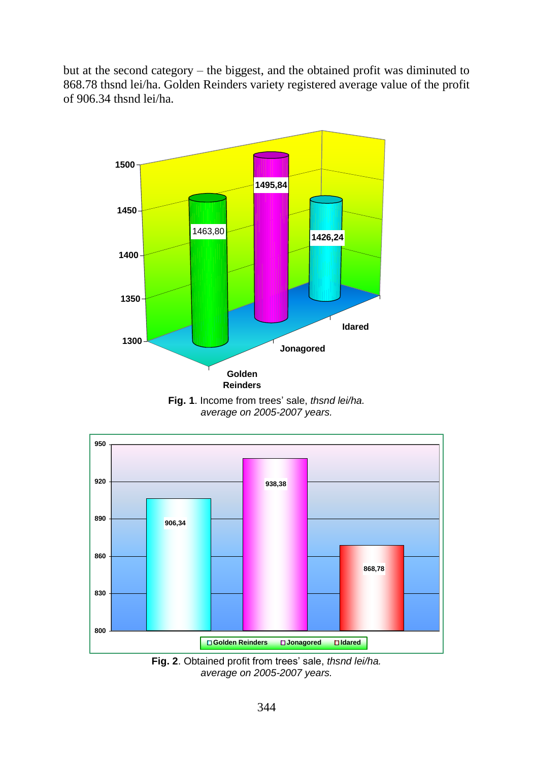but at the second category – the biggest, and the obtained profit was diminuted to 868.78 thsnd lei/ha. Golden Reinders variety registered average value of the profit of 906.34 thsnd lei/ha.







**Fig. 2**. Obtained profit from trees' sale, *thsnd lei/ha. average on 2005-2007 years.*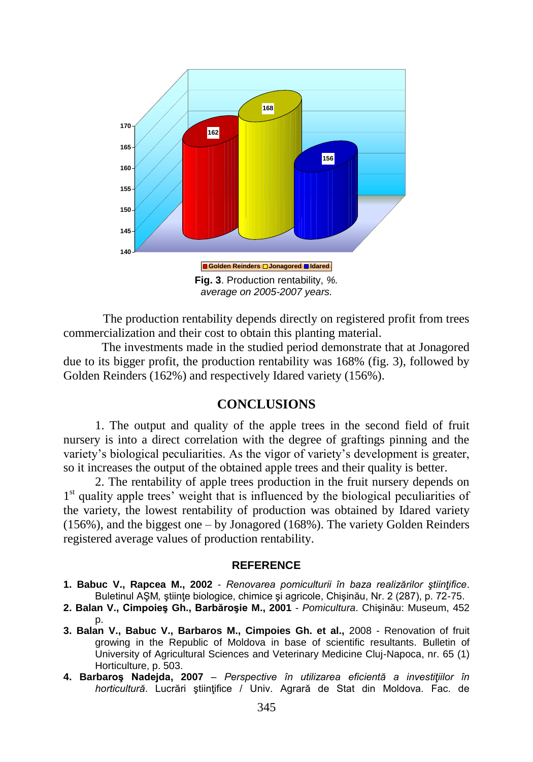

*average on 2005-2007 years.*

The production rentability depends directly on registered profit from trees commercialization and their cost to obtain this planting material.

The investments made in the studied period demonstrate that at Jonagored due to its bigger profit, the production rentability was 168% (fig. 3), followed by Golden Reinders (162%) and respectively Idared variety (156%).

## **CONCLUSIONS**

1. The output and quality of the apple trees in the second field of fruit nursery is into a direct correlation with the degree of graftings pinning and the variety's biological peculiarities. As the vigor of variety's development is greater, so it increases the output of the obtained apple trees and their quality is better.

2. The rentability of apple trees production in the fruit nursery depends on 1<sup>st</sup> quality apple trees' weight that is influenced by the biological peculiarities of the variety, the lowest rentability of production was obtained by Idared variety (156%), and the biggest one – by Jonagored (168%). The variety Golden Reinders registered average values of production rentability.

#### **REFERENCE**

- **1. Babuc V., Rapcea M., 2002** *Renovarea pomiculturii în baza realizărilor ştiinţifice*. Buletinul AŞM*,* ştiinţe biologice, chimice şi agricole, Chişinău, Nr. 2 (287), p. 72-75.
- **2. Balan V., Cimpoieş Gh., Barbăroşie M., 2001** *Pomicultura*. Chişinău: Museum, 452 p.
- **3. Balan V., Babuc V., Barbaros M., Cimpoies Gh. et al.,** 2008 Renovation of fruit growing in the Republic of Moldova in base of scientific resultants. Bulletin of University of Agricultural Sciences and Veterinary Medicine Cluj-Napoca, nr. 65 (1) Horticulture, p. 503.
- **4. Barbaroş Nadejda, 2007** *Perspective în utilizarea eficientă a investiţiilor în horticultură*. Lucrări ştiinţifice / Univ. Agrară de Stat din Moldova. Fac. de